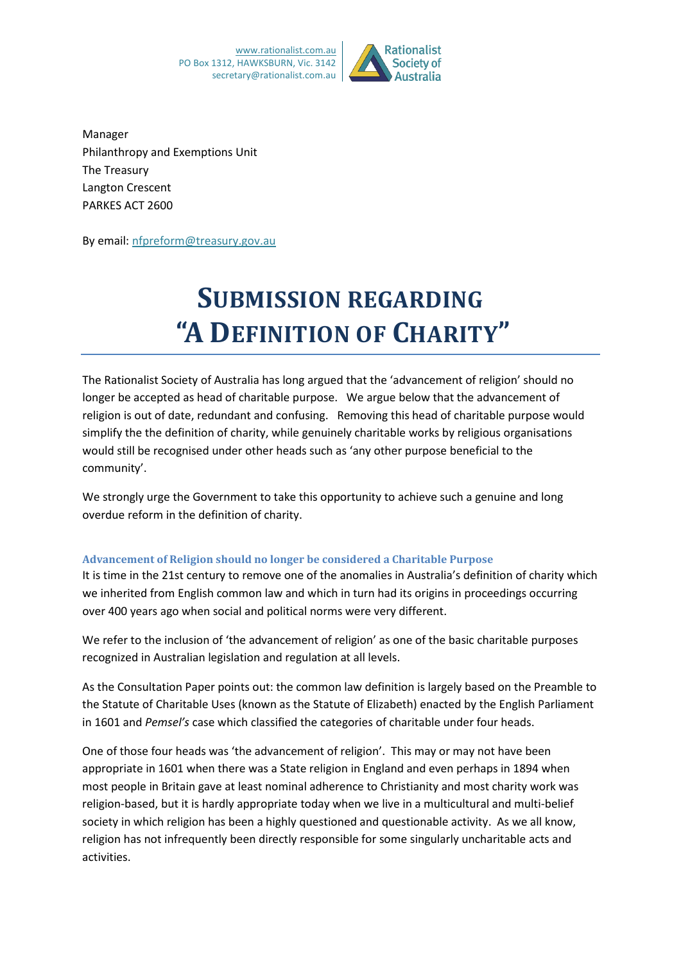[www.rationalist.com.au](http://www.rationalist.com.au/) **Rationalist** PO Box 1312, HAWKSBURN, Vic. 3142 **Society of** secretary@rationalist.com.au Australia

Manager Philanthropy and Exemptions Unit The Treasury Langton Crescent PARKES ACT 2600

By email: [nfpreform@treasury.gov.au](mailto:nfpreform@treasury.gov.au)

# **SUBMISSION REGARDING "A DEFINITION OF CHARITY"**

The Rationalist Society of Australia has long argued that the 'advancement of religion' should no longer be accepted as head of charitable purpose. We argue below that the advancement of religion is out of date, redundant and confusing. Removing this head of charitable purpose would simplify the the definition of charity, while genuinely charitable works by religious organisations would still be recognised under other heads such as 'any other purpose beneficial to the community'.

We strongly urge the Government to take this opportunity to achieve such a genuine and long overdue reform in the definition of charity.

# **Advancement of Religion should no longer be considered a Charitable Purpose**

It is time in the 21st century to remove one of the anomalies in Australia's definition of charity which we inherited from English common law and which in turn had its origins in proceedings occurring over 400 years ago when social and political norms were very different.

We refer to the inclusion of 'the advancement of religion' as one of the basic charitable purposes recognized in Australian legislation and regulation at all levels.

As the Consultation Paper points out: the common law definition is largely based on the Preamble to the Statute of Charitable Uses (known as the Statute of Elizabeth) enacted by the English Parliament in 1601 and *Pemsel's* case which classified the categories of charitable under four heads.

One of those four heads was 'the advancement of religion'. This may or may not have been appropriate in 1601 when there was a State religion in England and even perhaps in 1894 when most people in Britain gave at least nominal adherence to Christianity and most charity work was religion-based, but it is hardly appropriate today when we live in a multicultural and multi-belief society in which religion has been a highly questioned and questionable activity. As we all know, religion has not infrequently been directly responsible for some singularly uncharitable acts and activities.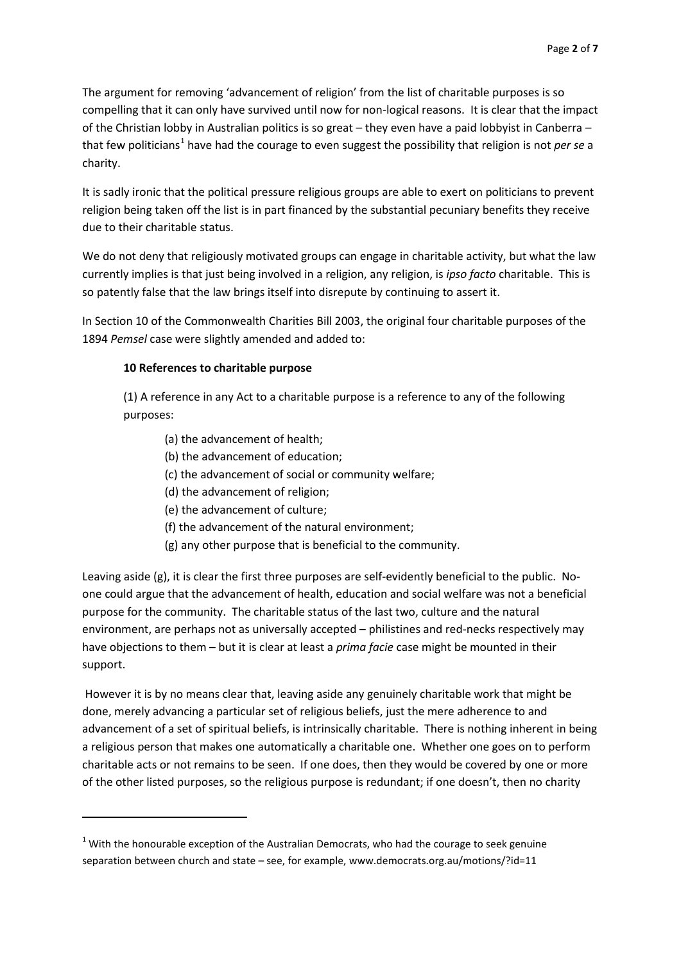The argument for removing 'advancement of religion' from the list of charitable purposes is so compelling that it can only have survived until now for non-logical reasons. It is clear that the impact of the Christian lobby in Australian politics is so great – they even have a paid lobbyist in Canberra – that few politicians<sup>[1](#page-1-0)</sup> have had the courage to even suggest the possibility that religion is not *per se* a charity.

It is sadly ironic that the political pressure religious groups are able to exert on politicians to prevent religion being taken off the list is in part financed by the substantial pecuniary benefits they receive due to their charitable status.

We do not deny that religiously motivated groups can engage in charitable activity, but what the law currently implies is that just being involved in a religion, any religion, is *ipso facto* charitable. This is so patently false that the law brings itself into disrepute by continuing to assert it.

In Section 10 of the Commonwealth Charities Bill 2003, the original four charitable purposes of the 1894 *Pemsel* case were slightly amended and added to:

# **10 References to charitable purpose**

**.** 

(1) A reference in any Act to a charitable purpose is a reference to any of the following purposes:

- (a) the advancement of health;
- (b) the advancement of education;
- (c) the advancement of social or community welfare;
- (d) the advancement of religion;
- (e) the advancement of culture;
- (f) the advancement of the natural environment;
- (g) any other purpose that is beneficial to the community.

Leaving aside (g), it is clear the first three purposes are self-evidently beneficial to the public. Noone could argue that the advancement of health, education and social welfare was not a beneficial purpose for the community. The charitable status of the last two, culture and the natural environment, are perhaps not as universally accepted – philistines and red-necks respectively may have objections to them – but it is clear at least a *prima facie* case might be mounted in their support.

However it is by no means clear that, leaving aside any genuinely charitable work that might be done, merely advancing a particular set of religious beliefs, just the mere adherence to and advancement of a set of spiritual beliefs, is intrinsically charitable. There is nothing inherent in being a religious person that makes one automatically a charitable one. Whether one goes on to perform charitable acts or not remains to be seen. If one does, then they would be covered by one or more of the other listed purposes, so the religious purpose is redundant; if one doesn't, then no charity

<span id="page-1-0"></span> $1$  With the honourable exception of the Australian Democrats, who had the courage to seek genuine separation between church and state – see, for example, www.democrats.org.au/motions/?id=11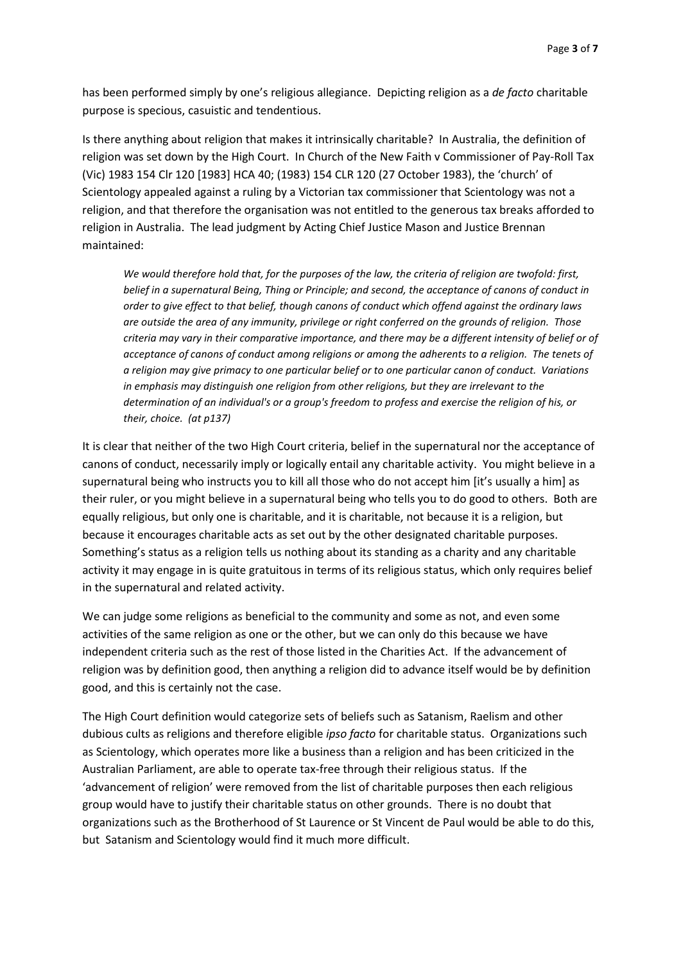has been performed simply by one's religious allegiance. Depicting religion as a *de facto* charitable purpose is specious, casuistic and tendentious.

Is there anything about religion that makes it intrinsically charitable? In Australia, the definition of religion was set down by the High Court. In Church of the New Faith v Commissioner of Pay-Roll Tax (Vic) 1983 154 Clr 120 [1983] HCA 40; (1983) 154 CLR 120 (27 October 1983), the 'church' of Scientology appealed against a ruling by a Victorian tax commissioner that Scientology was not a religion, and that therefore the organisation was not entitled to the generous tax breaks afforded to religion in Australia. The lead judgment by Acting Chief Justice Mason and Justice Brennan maintained:

*We would therefore hold that, for the purposes of the law, the criteria of religion are twofold: first, belief in a supernatural Being, Thing or Principle; and second, the acceptance of canons of conduct in order to give effect to that belief, though canons of conduct which offend against the ordinary laws are outside the area of any immunity, privilege or right conferred on the grounds of religion. Those criteria may vary in their comparative importance, and there may be a different intensity of belief or of acceptance of canons of conduct among religions or among the adherents to a religion. The tenets of a religion may give primacy to one particular belief or to one particular canon of conduct. Variations in emphasis may distinguish one religion from other religions, but they are irrelevant to the determination of an individual's or a group's freedom to profess and exercise the religion of his, or their, choice. (at p137)*

It is clear that neither of the two High Court criteria, belief in the supernatural nor the acceptance of canons of conduct, necessarily imply or logically entail any charitable activity. You might believe in a supernatural being who instructs you to kill all those who do not accept him [it's usually a him] as their ruler, or you might believe in a supernatural being who tells you to do good to others. Both are equally religious, but only one is charitable, and it is charitable, not because it is a religion, but because it encourages charitable acts as set out by the other designated charitable purposes. Something's status as a religion tells us nothing about its standing as a charity and any charitable activity it may engage in is quite gratuitous in terms of its religious status, which only requires belief in the supernatural and related activity.

We can judge some religions as beneficial to the community and some as not, and even some activities of the same religion as one or the other, but we can only do this because we have independent criteria such as the rest of those listed in the Charities Act. If the advancement of religion was by definition good, then anything a religion did to advance itself would be by definition good, and this is certainly not the case.

The High Court definition would categorize sets of beliefs such as Satanism, Raelism and other dubious cults as religions and therefore eligible *ipso facto* for charitable status. Organizations such as Scientology, which operates more like a business than a religion and has been criticized in the Australian Parliament, are able to operate tax-free through their religious status. If the 'advancement of religion' were removed from the list of charitable purposes then each religious group would have to justify their charitable status on other grounds. There is no doubt that organizations such as the Brotherhood of St Laurence or St Vincent de Paul would be able to do this, but Satanism and Scientology would find it much more difficult.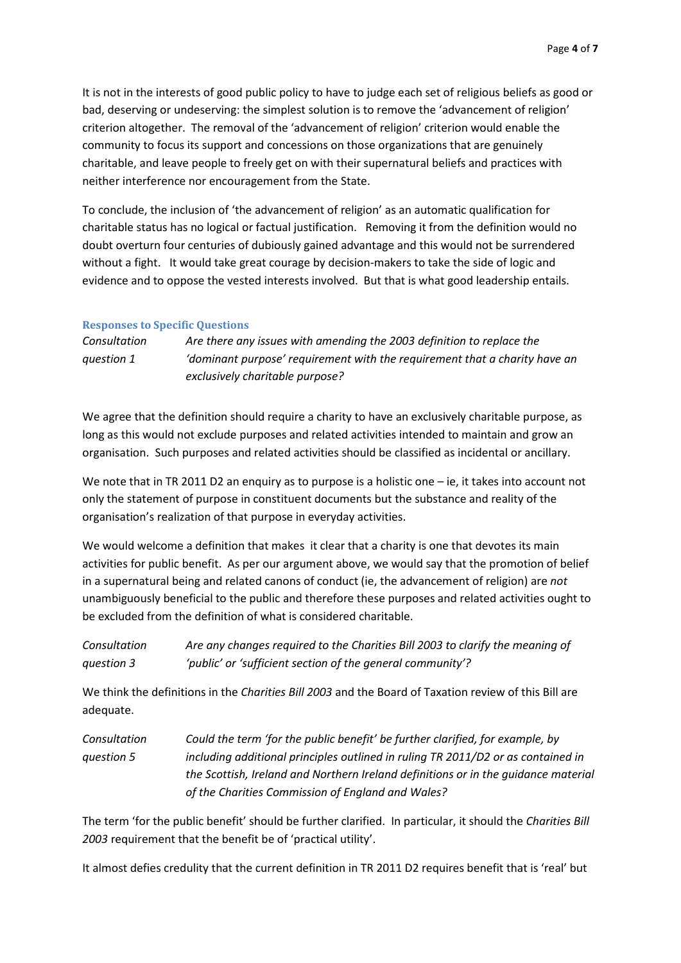It is not in the interests of good public policy to have to judge each set of religious beliefs as good or bad, deserving or undeserving: the simplest solution is to remove the 'advancement of religion' criterion altogether. The removal of the 'advancement of religion' criterion would enable the community to focus its support and concessions on those organizations that are genuinely charitable, and leave people to freely get on with their supernatural beliefs and practices with neither interference nor encouragement from the State.

To conclude, the inclusion of 'the advancement of religion' as an automatic qualification for charitable status has no logical or factual justification. Removing it from the definition would no doubt overturn four centuries of dubiously gained advantage and this would not be surrendered without a fight. It would take great courage by decision-makers to take the side of logic and evidence and to oppose the vested interests involved. But that is what good leadership entails.

## **Responses to Specific Questions**

*Consultation question 1 Are there any issues with amending the 2003 definition to replace the 'dominant purpose' requirement with the requirement that a charity have an exclusively charitable purpose?*

We agree that the definition should require a charity to have an exclusively charitable purpose, as long as this would not exclude purposes and related activities intended to maintain and grow an organisation. Such purposes and related activities should be classified as incidental or ancillary.

We note that in TR 2011 D2 an enquiry as to purpose is a holistic one - ie, it takes into account not only the statement of purpose in constituent documents but the substance and reality of the organisation's realization of that purpose in everyday activities.

We would welcome a definition that makes it clear that a charity is one that devotes its main activities for public benefit. As per our argument above, we would say that the promotion of belief in a supernatural being and related canons of conduct (ie, the advancement of religion) are *not* unambiguously beneficial to the public and therefore these purposes and related activities ought to be excluded from the definition of what is considered charitable.

| Consultation | Are any changes required to the Charities Bill 2003 to clarify the meaning of |
|--------------|-------------------------------------------------------------------------------|
| question 3   | 'public' or 'sufficient section of the general community'?                    |

We think the definitions in the *Charities Bill 2003* and the Board of Taxation review of this Bill are adequate.

*Consultation question 5 Could the term 'for the public benefit' be further clarified, for example, by including additional principles outlined in ruling TR 2011/D2 or as contained in the Scottish, Ireland and Northern Ireland definitions or in the guidance material of the Charities Commission of England and Wales?* 

The term 'for the public benefit' should be further clarified. In particular, it should the *Charities Bill 2003* requirement that the benefit be of 'practical utility'.

It almost defies credulity that the current definition in TR 2011 D2 requires benefit that is 'real' but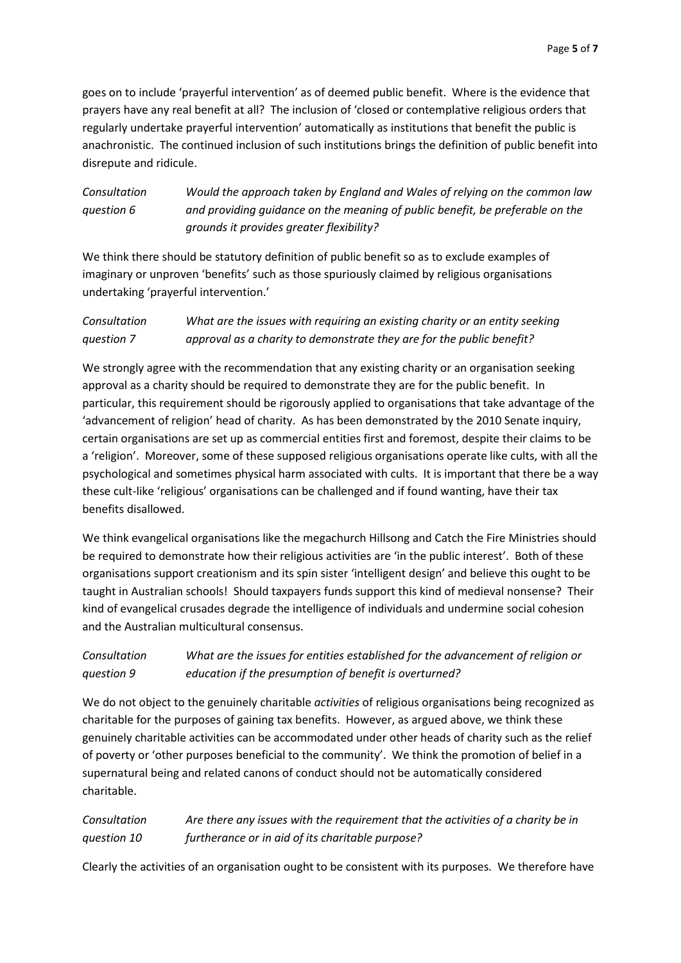goes on to include 'prayerful intervention' as of deemed public benefit. Where is the evidence that prayers have any real benefit at all? The inclusion of 'closed or contemplative religious orders that regularly undertake prayerful intervention' automatically as institutions that benefit the public is anachronistic. The continued inclusion of such institutions brings the definition of public benefit into disrepute and ridicule.

*Consultation question 6 Would the approach taken by England and Wales of relying on the common law and providing guidance on the meaning of public benefit, be preferable on the grounds it provides greater flexibility?*

We think there should be statutory definition of public benefit so as to exclude examples of imaginary or unproven 'benefits' such as those spuriously claimed by religious organisations undertaking 'prayerful intervention.'

#### *Consultation question 7 What are the issues with requiring an existing charity or an entity seeking approval as a charity to demonstrate they are for the public benefit?*

We strongly agree with the recommendation that any existing charity or an organisation seeking approval as a charity should be required to demonstrate they are for the public benefit. In particular, this requirement should be rigorously applied to organisations that take advantage of the 'advancement of religion' head of charity. As has been demonstrated by the 2010 Senate inquiry, certain organisations are set up as commercial entities first and foremost, despite their claims to be a 'religion'. Moreover, some of these supposed religious organisations operate like cults, with all the psychological and sometimes physical harm associated with cults. It is important that there be a way these cult-like 'religious' organisations can be challenged and if found wanting, have their tax benefits disallowed.

We think evangelical organisations like the megachurch Hillsong and Catch the Fire Ministries should be required to demonstrate how their religious activities are 'in the public interest'. Both of these organisations support creationism and its spin sister 'intelligent design' and believe this ought to be taught in Australian schools! Should taxpayers funds support this kind of medieval nonsense? Their kind of evangelical crusades degrade the intelligence of individuals and undermine social cohesion and the Australian multicultural consensus.

#### *Consultation question 9 What are the issues for entities established for the advancement of religion or education if the presumption of benefit is overturned?*

We do not object to the genuinely charitable *activities* of religious organisations being recognized as charitable for the purposes of gaining tax benefits. However, as argued above, we think these genuinely charitable activities can be accommodated under other heads of charity such as the relief of poverty or 'other purposes beneficial to the community'. We think the promotion of belief in a supernatural being and related canons of conduct should not be automatically considered charitable.

#### *Consultation question 10 Are there any issues with the requirement that the activities of a charity be in furtherance or in aid of its charitable purpose?*

Clearly the activities of an organisation ought to be consistent with its purposes. We therefore have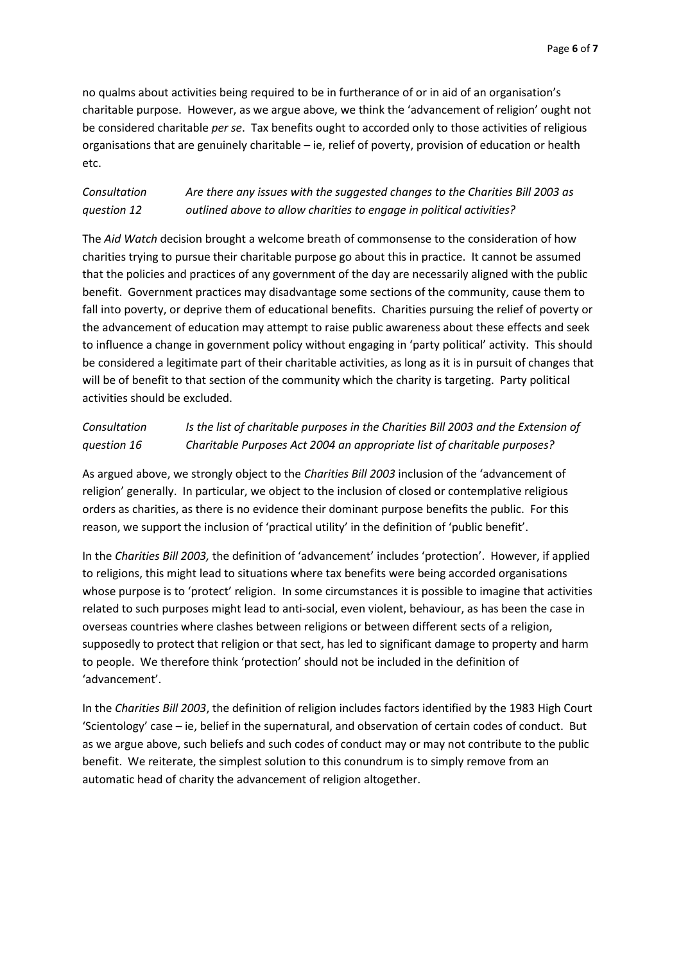no qualms about activities being required to be in furtherance of or in aid of an organisation's charitable purpose. However, as we argue above, we think the 'advancement of religion' ought not be considered charitable *per se*. Tax benefits ought to accorded only to those activities of religious organisations that are genuinely charitable – ie, relief of poverty, provision of education or health etc.

#### *Consultation question 12 Are there any issues with the suggested changes to the Charities Bill 2003 as outlined above to allow charities to engage in political activities?*

The *Aid Watch* decision brought a welcome breath of commonsense to the consideration of how charities trying to pursue their charitable purpose go about this in practice. It cannot be assumed that the policies and practices of any government of the day are necessarily aligned with the public benefit. Government practices may disadvantage some sections of the community, cause them to fall into poverty, or deprive them of educational benefits. Charities pursuing the relief of poverty or the advancement of education may attempt to raise public awareness about these effects and seek to influence a change in government policy without engaging in 'party political' activity. This should be considered a legitimate part of their charitable activities, as long as it is in pursuit of changes that will be of benefit to that section of the community which the charity is targeting. Party political activities should be excluded.

#### *Consultation question 16 Is the list of charitable purposes in the Charities Bill 2003 and the Extension of Charitable Purposes Act 2004 an appropriate list of charitable purposes?*

As argued above, we strongly object to the *Charities Bill 2003* inclusion of the 'advancement of religion' generally. In particular, we object to the inclusion of closed or contemplative religious orders as charities, as there is no evidence their dominant purpose benefits the public. For this reason, we support the inclusion of 'practical utility' in the definition of 'public benefit'.

In the *Charities Bill 2003,* the definition of 'advancement' includes 'protection'. However, if applied to religions, this might lead to situations where tax benefits were being accorded organisations whose purpose is to 'protect' religion. In some circumstances it is possible to imagine that activities related to such purposes might lead to anti-social, even violent, behaviour, as has been the case in overseas countries where clashes between religions or between different sects of a religion, supposedly to protect that religion or that sect, has led to significant damage to property and harm to people. We therefore think 'protection' should not be included in the definition of 'advancement'.

In the *Charities Bill 2003*, the definition of religion includes factors identified by the 1983 High Court 'Scientology' case – ie, belief in the supernatural, and observation of certain codes of conduct. But as we argue above, such beliefs and such codes of conduct may or may not contribute to the public benefit. We reiterate, the simplest solution to this conundrum is to simply remove from an automatic head of charity the advancement of religion altogether.